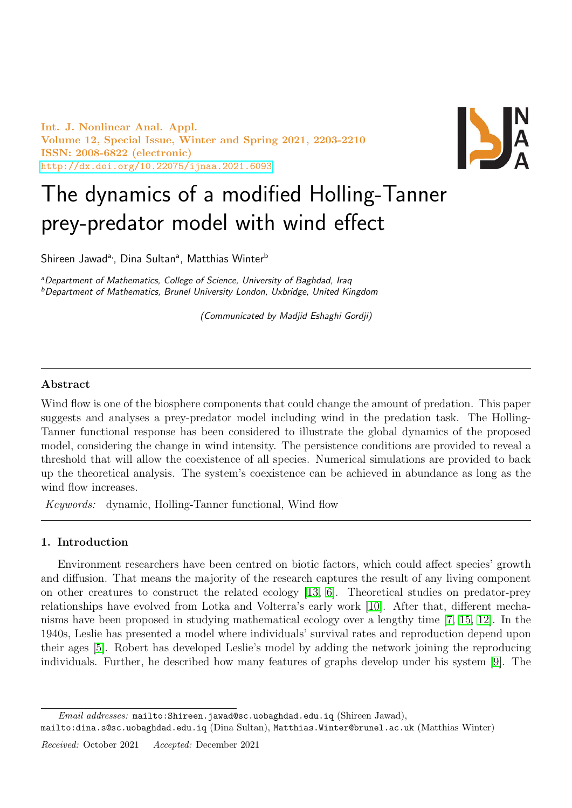Int. J. Nonlinear Anal. Appl. Volume 12, Special Issue, Winter and Spring 2021, 2203-2210 ISSN: 2008-6822 (electronic) <http://dx.doi.org/10.22075/ijnaa.2021.6093>



# The dynamics of a modified Holling-Tanner prey-predator model with wind effect

Shireen Jawad<sup>a,</sup>, Dina Sultan<sup>a</sup>, Matthias Winter<sup>b</sup>

<sup>a</sup>Department of Mathematics, College of Science, University of Baghdad, Iraq <sup>b</sup>Department of Mathematics, Brunel University London, Uxbridge, United Kingdom

(Communicated by Madjid Eshaghi Gordji)

# Abstract

Wind flow is one of the biosphere components that could change the amount of predation. This paper suggests and analyses a prey-predator model including wind in the predation task. The Holling-Tanner functional response has been considered to illustrate the global dynamics of the proposed model, considering the change in wind intensity. The persistence conditions are provided to reveal a threshold that will allow the coexistence of all species. Numerical simulations are provided to back up the theoretical analysis. The system's coexistence can be achieved in abundance as long as the wind flow increases.

Keywords: dynamic, Holling-Tanner functional, Wind flow

# 1. Introduction

Environment researchers have been centred on biotic factors, which could affect species' growth and diffusion. That means the majority of the research captures the result of any living component on other creatures to construct the related ecology [\[13,](#page-7-0) [6\]](#page-6-0). Theoretical studies on predator-prey relationships have evolved from Lotka and Volterra's early work [\[10\]](#page-7-1). After that, different mechanisms have been proposed in studying mathematical ecology over a lengthy time [\[7,](#page-6-1) [15,](#page-7-2) [12\]](#page-7-3). In the 1940s, Leslie has presented a model where individuals' survival rates and reproduction depend upon their ages [\[5\]](#page-6-2). Robert has developed Leslie's model by adding the network joining the reproducing individuals. Further, he described how many features of graphs develop under his system [\[9\]](#page-7-4). The

Email addresses: mailto:Shireen.jawad@sc.uobaghdad.edu.iq (Shireen Jawad),

mailto:dina.s@sc.uobaghdad.edu.iq (Dina Sultan), Matthias.Winter@brunel.ac.uk (Matthias Winter)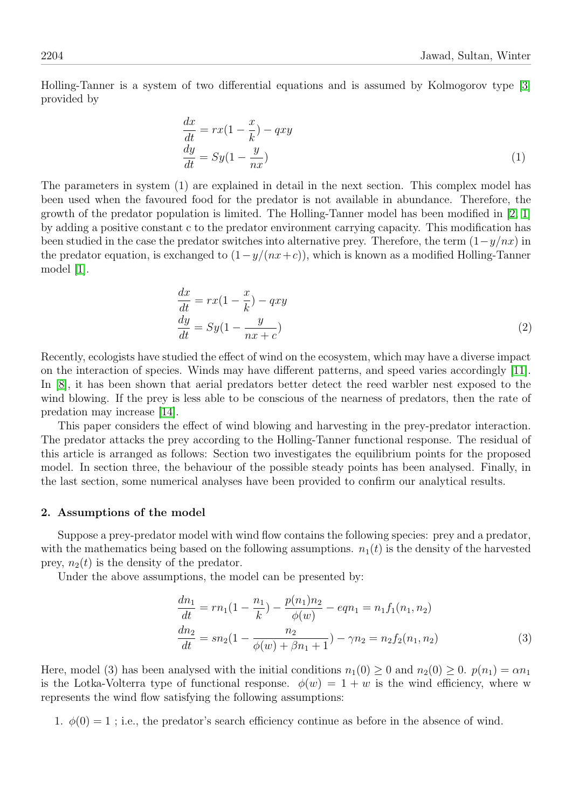Holling-Tanner is a system of two differential equations and is assumed by Kolmogorov type [\[3\]](#page-6-3) provided by

$$
\begin{aligned}\n\frac{dx}{dt} &= rx(1 - \frac{x}{k}) - qxy\\
\frac{dy}{dt} &= Sy(1 - \frac{y}{nx})\n\end{aligned} \tag{1}
$$

The parameters in system (1) are explained in detail in the next section. This complex model has been used when the favoured food for the predator is not available in abundance. Therefore, the growth of the predator population is limited. The Holling-Tanner model has been modified in [\[2,](#page-6-4) [1\]](#page-6-5) by adding a positive constant c to the predator environment carrying capacity. This modification has been studied in the case the predator switches into alternative prey. Therefore, the term  $(1-y/nx)$  in the predator equation, is exchanged to  $(1-y/(nx+c))$ , which is known as a modified Holling-Tanner model [\[1\]](#page-6-5).

$$
\begin{aligned}\n\frac{dx}{dt} &= rx(1 - \frac{x}{k}) - qxy \\
\frac{dy}{dt} &= Sy(1 - \frac{y}{nx + c})\n\end{aligned} \tag{2}
$$

Recently, ecologists have studied the effect of wind on the ecosystem, which may have a diverse impact on the interaction of species. Winds may have different patterns, and speed varies accordingly [\[11\]](#page-7-5). In [\[8\]](#page-7-6), it has been shown that aerial predators better detect the reed warbler nest exposed to the wind blowing. If the prey is less able to be conscious of the nearness of predators, then the rate of predation may increase [\[14\]](#page-7-7).

This paper considers the effect of wind blowing and harvesting in the prey-predator interaction. The predator attacks the prey according to the Holling-Tanner functional response. The residual of this article is arranged as follows: Section two investigates the equilibrium points for the proposed model. In section three, the behaviour of the possible steady points has been analysed. Finally, in the last section, some numerical analyses have been provided to confirm our analytical results.

#### 2. Assumptions of the model

Suppose a prey-predator model with wind flow contains the following species: prey and a predator, with the mathematics being based on the following assumptions.  $n_1(t)$  is the density of the harvested prey,  $n_2(t)$  is the density of the predator.

Under the above assumptions, the model can be presented by:

$$
\frac{dn_1}{dt} = rn_1(1 - \frac{n_1}{k}) - \frac{p(n_1)n_2}{\phi(w)} - eqn_1 = n_1f_1(n_1, n_2)
$$
  
\n
$$
\frac{dn_2}{dt} = sn_2(1 - \frac{n_2}{\phi(w) + \beta n_1 + 1}) - \gamma n_2 = n_2f_2(n_1, n_2)
$$
\n(3)

Here, model (3) has been analysed with the initial conditions  $n_1(0) \ge 0$  and  $n_2(0) \ge 0$ .  $p(n_1) = \alpha n_1$ is the Lotka-Volterra type of functional response.  $\phi(w) = 1 + w$  is the wind efficiency, where w represents the wind flow satisfying the following assumptions:

1.  $\phi(0) = 1$ ; i.e., the predator's search efficiency continue as before in the absence of wind.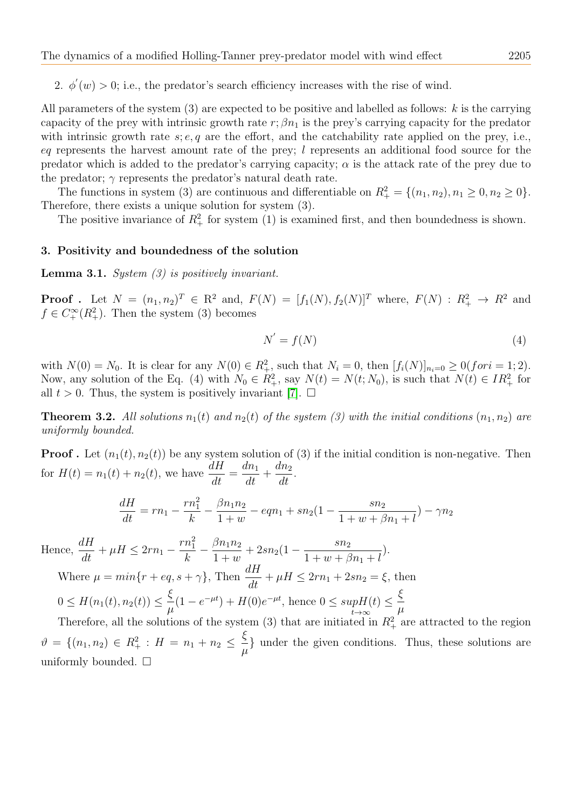2.  $\phi'(w) > 0$ ; i.e., the predator's search efficiency increases with the rise of wind.

All parameters of the system  $(3)$  are expected to be positive and labelled as follows: k is the carrying capacity of the prey with intrinsic growth rate r;  $\beta n_1$  is the prey's carrying capacity for the predator with intrinsic growth rate  $s; e, q$  are the effort, and the catchability rate applied on the prey, i.e., eq represents the harvest amount rate of the prey;  $l$  represents an additional food source for the predator which is added to the predator's carrying capacity;  $\alpha$  is the attack rate of the prey due to the predator;  $\gamma$  represents the predator's natural death rate.

The functions in system (3) are continuous and differentiable on  $R_+^2 = \{(n_1, n_2), n_1 \geq 0, n_2 \geq 0\}.$ Therefore, there exists a unique solution for system (3).

The positive invariance of  $R_+^2$  for system (1) is examined first, and then boundedness is shown.

### 3. Positivity and boundedness of the solution

**Lemma 3.1.** System  $(3)$  is positively invariant.

**Proof** . Let  $N = (n_1, n_2)^T \in \mathbb{R}^2$  and,  $F(N) = [f_1(N), f_2(N)]^T$  where,  $F(N) : \mathbb{R}^2_+ \to \mathbb{R}^2$  and  $f \in C_+^{\infty}(R_+^2)$ . Then the system (3) becomes

$$
N' = f(N) \tag{4}
$$

with  $N(0) = N_0$ . It is clear for any  $N(0) \in R_+^2$ , such that  $N_i = 0$ , then  $[f_i(N)]_{n_i=0} \ge 0$  (for  $i = 1; 2$ ). Now, any solution of the Eq. (4) with  $N_0 \in R_+^2$ , say  $N(t) = N(t; N_0)$ , is such that  $N(t) \in IR_+^2$  for all  $t > 0$ . Thus, the system is positively invariant [\[7\]](#page-6-1).  $\Box$ 

**Theorem 3.2.** All solutions  $n_1(t)$  and  $n_2(t)$  of the system (3) with the initial conditions  $(n_1, n_2)$  are uniformly bounded.

**Proof.** Let  $(n_1(t), n_2(t))$  be any system solution of (3) if the initial condition is non-negative. Then for  $H(t) = n_1(t) + n_2(t)$ , we have  $\frac{dH}{dt} =$  $dn_1$  $\frac{du}{dt} +$  $dn_2$  $\frac{d}{dt}$ 

$$
\frac{dH}{dt} = rn_1 - \frac{rn_1^2}{k} - \frac{\beta n_1 n_2}{1+w} - eqn_1 + sn_2(1 - \frac{sn_2}{1+w + \beta n_1 + l}) - \gamma n_2
$$

Hence,  $\frac{dH}{dt} + \mu H \leq 2rn_1$  –  $rn_1^2$ k  $-\frac{\beta n_1 n_2}{1}$  $\frac{\beta n_1 n_2}{1 + w} + 2sn_2(1 - \frac{sn_2}{1 + w + \beta})$  $1 + w + \beta n_1 + l$ ). Where  $\mu = min\{r + eq, s + \gamma\}$ , Then  $\frac{dH}{dt} + \mu H \leq 2rn_1 + 2sn_2 = \xi$ , then  $0 \leq H(n_1(t), n_2(t)) \leq \frac{\xi}{\epsilon}$  $\mu$  $(1 - e^{-\mu t}) + H(0)e^{-\mu t}$ , hence  $0 \leq supH(t)$  $t\rightarrow\infty$  $\leq \frac{\xi}{\xi}$  $\mu$ 

Therefore, all the solutions of the system (3) that are initiated in  $R_+^2$  are attracted to the region  $\vartheta = \{(n_1, n_2) \in R_+^2 : H = n_1 + n_2 \leq \frac{\xi}{\mu}$  $\mu$ } under the given conditions. Thus, these solutions are uniformly bounded.  $\square$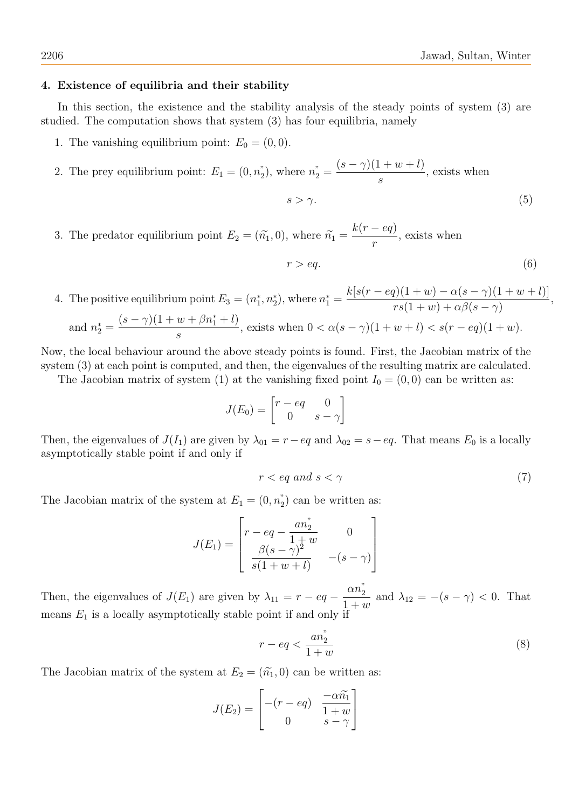## 4. Existence of equilibria and their stability

In this section, the existence and the stability analysis of the steady points of system (3) are studied. The computation shows that system (3) has four equilibria, namely

- 1. The vanishing equilibrium point:  $E_0 = (0, 0)$ .
- 2. The prey equilibrium point:  $E_1 = (0, n_2)$ , where  $n_2 =$  $(s-\gamma)(1+w+l)$ s , exists when

$$
s > \gamma. \tag{5}
$$

3. The predator equilibrium point  $E_2 = (\tilde{n}_1, 0)$ , where  $\tilde{n}_1 =$  $k(r - eq)$ r , exists when

$$
r > eq.
$$
 (6)

4. The positive equilibrium point  $E_3 = (n_1^*, n_2^*)$ , where  $n_1^* =$  $k[s(r - eq)(1 + w) - \alpha(s - \gamma)(1 + w + l)]$  $rs(1+w)+\alpha\beta(s-\gamma)$ , and  $n_2^* =$  $(s - \gamma)(1 + w + \beta n_1^* + l)$ s , exists when  $0 < \alpha(s - \gamma)(1 + w + l) < s(r - eq)(1 + w)$ .

Now, the local behaviour around the above steady points is found. First, the Jacobian matrix of the system (3) at each point is computed, and then, the eigenvalues of the resulting matrix are calculated.

The Jacobian matrix of system (1) at the vanishing fixed point  $I_0 = (0,0)$  can be written as:

$$
J(E_0) = \begin{bmatrix} r - eq & 0 \\ 0 & s - \gamma \end{bmatrix}
$$

Then, the eigenvalues of  $J(I_1)$  are given by  $\lambda_{01} = r - eq$  and  $\lambda_{02} = s - eq$ . That means  $E_0$  is a locally asymptotically stable point if and only if

$$
r < eq \ and \ s < \gamma \tag{7}
$$

The Jacobian matrix of the system at  $E_1 = (0, n_2)$  can be written as:

$$
J(E_1) = \begin{bmatrix} r - eq - \frac{an_2^2}{1+w} & 0\\ \frac{\beta(s-\gamma)^2}{s(1+w+l)} & -(s-\gamma) \end{bmatrix}
$$

Then, the eigenvalues of  $J(E_1)$  are given by  $\lambda_{11} = r - eq \alpha n_2^"$  $\frac{arg}{1+w}$  and  $\lambda_{12} = -(s-\gamma) < 0$ . That means  $E_1$  is a locally asymptotically stable point if and only if

$$
r - eq < \frac{an_2^{"}}{1+w} \tag{8}
$$

The Jacobian matrix of the system at  $E_2 = (\tilde{n_1}, 0)$  can be written as:

$$
J(E_2) = \begin{bmatrix} -(r - eq) & \frac{-\alpha \widetilde{n_1}}{1 + w} \\ 0 & s - \gamma \end{bmatrix}
$$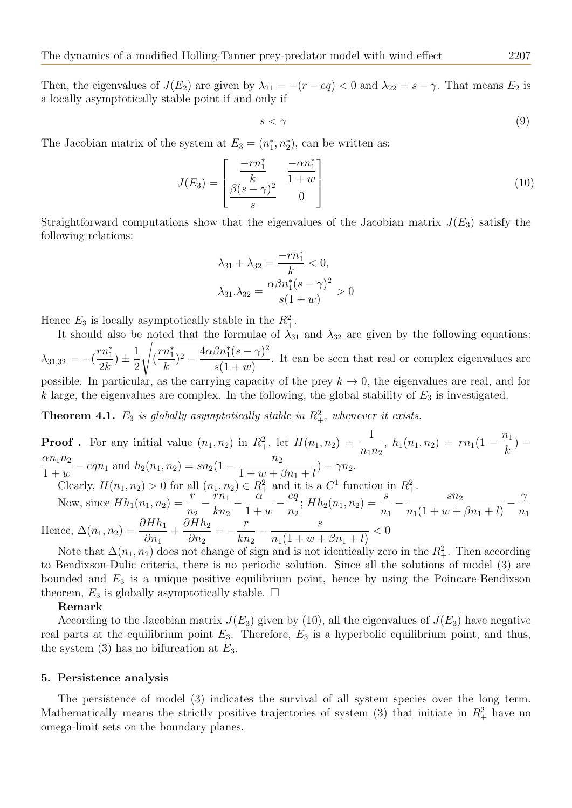Then, the eigenvalues of  $J(E_2)$  are given by  $\lambda_{21} = -(r - eq) < 0$  and  $\lambda_{22} = s - \gamma$ . That means  $E_2$  is a locally asymptotically stable point if and only if

$$
s < \gamma \tag{9}
$$

The Jacobian matrix of the system at  $E_3 = (n_1^*, n_2^*)$ , can be written as:

$$
J(E_3) = \begin{bmatrix} \frac{-rn_1^*}{k} & \frac{-\alpha n_1^*}{1+w} \\ \frac{\beta(s-\gamma)^2}{s} & 0 \end{bmatrix} \tag{10}
$$

Straightforward computations show that the eigenvalues of the Jacobian matrix  $J(E_3)$  satisfy the following relations:

<span id="page-4-0"></span>
$$
\lambda_{31} + \lambda_{32} = \frac{-rn_1^*}{k} < 0, \n\lambda_{31} \cdot \lambda_{32} = \frac{\alpha \beta n_1^*(s - \gamma)^2}{s(1 + w)} > 0
$$

Hence  $E_3$  is locally asymptotically stable in the  $R_+^2$ .

It should also be noted that the formulae of  $\lambda_{31}$  and  $\lambda_{32}$  are given by the following equations:  $\lambda_{31,32} = -$ (  $rn_1^*$  $2k$  $+\frac{1}{2}$ 2  $\overline{\phantom{a}}$ (  $rn_1^*$ k )<sup>2</sup> –  $\frac{4\alpha\beta n_1^*(s-\gamma)^2}{(1+\gamma)^2}$  $s(1+w)$ . It can be seen that real or complex eigenvalues are possible. In particular, as the carrying capacity of the prey  $k \to 0$ , the eigenvalues are real, and for

k large, the eigenvalues are complex. In the following, the global stability of  $E_3$  is investigated.

**Theorem 4.1.**  $E_3$  is globally asymptotically stable in  $R_+^2$ , whenever it exists.

Proof. For any initial value 
$$
(n_1, n_2)
$$
 in  $R_+^2$ , let  $H(n_1, n_2) = \frac{1}{n_1 n_2}$ ,  $h_1(n_1, n_2) = rn_1(1 - \frac{n_1}{k}) - \frac{\alpha n_1 n_2}{1 + w} - eqn_1$  and  $h_2(n_1, n_2) = sn_2(1 - \frac{n_2}{1 + w + \beta n_1 + l}) - \gamma n_2$ .  
Clearly,  $H(n_1, n_2) > 0$  for all  $(n_1, n_2) \in R_+^2$  and it is a  $C^1$  function in  $R_+^2$ .  
Now, since  $Hh_1(n_1, n_2) = \frac{r}{n_2} - \frac{rn_1}{kn_2} - \frac{\alpha}{1 + w} - \frac{eq}{n_2}$ ;  $Hh_2(n_1, n_2) = \frac{s}{n_1} - \frac{sn_2}{n_1(1 + w + \beta n_1 + l)} - \frac{\gamma}{n_1}$   
Hence,  $\Delta(n_1, n_2) = \frac{\partial Hh_1}{\partial n_1} + \frac{\partial Hh_2}{\partial n_2} = -\frac{r}{kn_2} - \frac{s}{n_1(1 + w + \beta n_1 + l)} < 0$ 

Note that  $\Delta(n_1, n_2)$  does not change of sign and is not identically zero in the  $R_+^2$ . Then according to Bendixson-Dulic criteria, there is no periodic solution. Since all the solutions of model (3) are bounded and  $E_3$  is a unique positive equilibrium point, hence by using the Poincare-Bendixson theorem,  $E_3$  is globally asymptotically stable.  $\square$ 

## Remark

According to the Jacobian matrix  $J(E_3)$  given by (10), all the eigenvalues of  $J(E_3)$  have negative real parts at the equilibrium point  $E_3$ . Therefore,  $E_3$  is a hyperbolic equilibrium point, and thus, the system  $(3)$  has no bifurcation at  $E_3$ .

#### 5. Persistence analysis

The persistence of model (3) indicates the survival of all system species over the long term. Mathematically means the strictly positive trajectories of system (3) that initiate in  $R_+^2$  have no omega-limit sets on the boundary planes.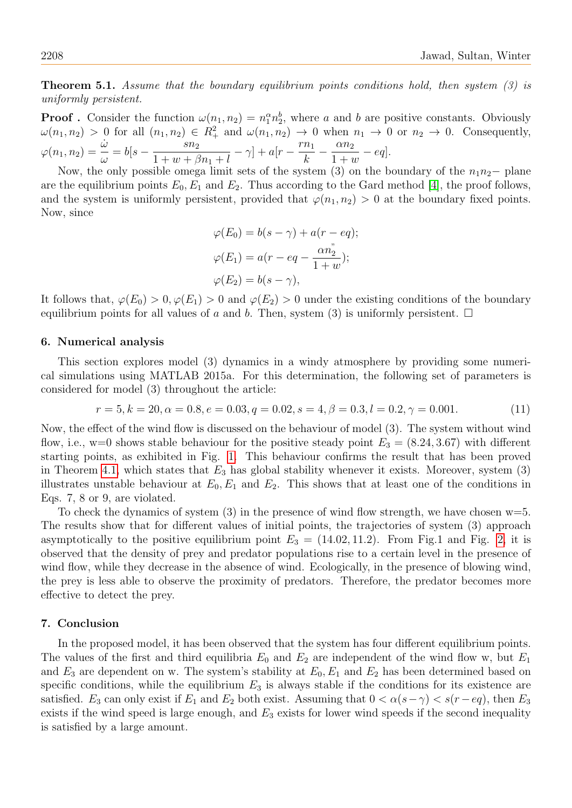**Theorem 5.1.** Assume that the boundary equilibrium points conditions hold, then system (3) is uniformly persistent.

**Proof**. Consider the function  $\omega(n_1, n_2) = n_1^{\alpha} n_2^{\beta}$ , where a and b are positive constants. Obviously  $\omega(n_1, n_2) > 0$  for all  $(n_1, n_2) \in R_+^2$  and  $\omega(n_1, n_2) \to 0$  when  $n_1 \to 0$  or  $n_2 \to 0$ . Consequently,  $\varphi(n_1, n_2) = \frac{\dot{\omega}}{\omega}$  $= b[s - \frac{sn_2}{1 + \cdots})$  $1 + w + \beta n_1 + l$  $-\gamma$ ] +  $a[r-\frac{rn_1}{l}]$ k  $-\frac{\alpha n_2}{1}$  $1 + w$  $-eq$ ].

Now, the only possible omega limit sets of the system (3) on the boundary of the  $n_1n_2-$  plane are the equilibrium points  $E_0, E_1$  and  $E_2$ . Thus according to the Gard method [\[4\]](#page-6-6), the proof follows, and the system is uniformly persistent, provided that  $\varphi(n_1, n_2) > 0$  at the boundary fixed points. Now, since

$$
\varphi(E_0) = b(s - \gamma) + a(r - eq);
$$
  

$$
\varphi(E_1) = a(r - eq - \frac{\alpha n_2^2}{1 + w});
$$
  

$$
\varphi(E_2) = b(s - \gamma),
$$

It follows that,  $\varphi(E_0) > 0$ ,  $\varphi(E_1) > 0$  and  $\varphi(E_2) > 0$  under the existing conditions of the boundary equilibrium points for all values of a and b. Then, system (3) is uniformly persistent.  $\Box$ 

### 6. Numerical analysis

This section explores model (3) dynamics in a windy atmosphere by providing some numerical simulations using MATLAB 2015a. For this determination, the following set of parameters is considered for model (3) throughout the article:

$$
r = 5, k = 20, \alpha = 0.8, e = 0.03, q = 0.02, s = 4, \beta = 0.3, l = 0.2, \gamma = 0.001.
$$
\n
$$
(11)
$$

Now, the effect of the wind flow is discussed on the behaviour of model (3). The system without wind flow, i.e., w=0 shows stable behaviour for the positive steady point  $E_3 = (8.24, 3.67)$  with different starting points, as exhibited in Fig. [1.](#page-6-7) This behaviour confirms the result that has been proved in Theorem [4.1,](#page-4-0) which states that  $E_3$  has global stability whenever it exists. Moreover, system (3) illustrates unstable behaviour at  $E_0, E_1$  and  $E_2$ . This shows that at least one of the conditions in Eqs. 7, 8 or 9, are violated.

To check the dynamics of system  $(3)$  in the presence of wind flow strength, we have chosen  $w=5$ . The results show that for different values of initial points, the trajectories of system (3) approach asymptotically to the positive equilibrium point  $E_3 = (14.02, 11.2)$ . From Fig.1 and Fig. [2,](#page-6-8) it is observed that the density of prey and predator populations rise to a certain level in the presence of wind flow, while they decrease in the absence of wind. Ecologically, in the presence of blowing wind, the prey is less able to observe the proximity of predators. Therefore, the predator becomes more effective to detect the prey.

#### 7. Conclusion

In the proposed model, it has been observed that the system has four different equilibrium points. The values of the first and third equilibria  $E_0$  and  $E_2$  are independent of the wind flow w, but  $E_1$ and  $E_3$  are dependent on w. The system's stability at  $E_0, E_1$  and  $E_2$  has been determined based on specific conditions, while the equilibrium  $E_3$  is always stable if the conditions for its existence are satisfied. E<sub>3</sub> can only exist if  $E_1$  and  $E_2$  both exist. Assuming that  $0 < \alpha(s-\gamma) < s(r-eq)$ , then  $E_3$ exists if the wind speed is large enough, and  $E_3$  exists for lower wind speeds if the second inequality is satisfied by a large amount.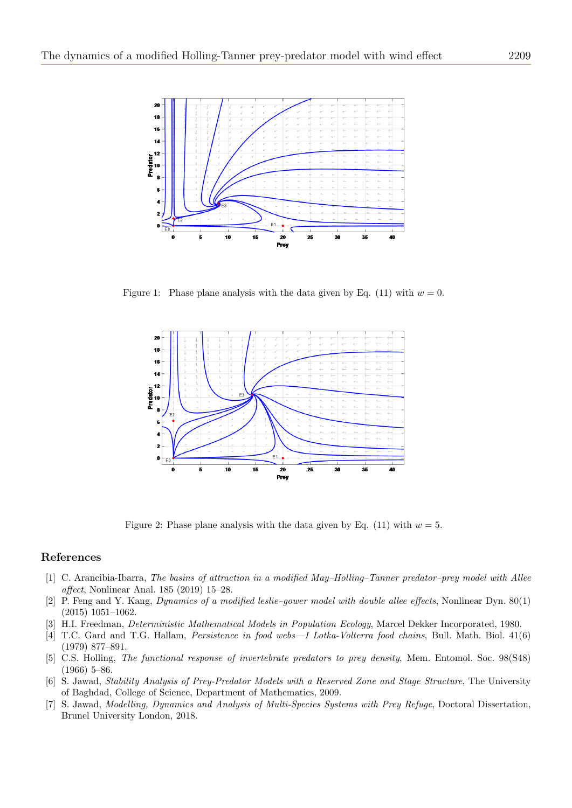

Figure 1: Phase plane analysis with the data given by Eq. (11) with  $w = 0$ .

<span id="page-6-7"></span>

<span id="page-6-8"></span>Figure 2: Phase plane analysis with the data given by Eq. (11) with  $w = 5$ .

### References

- <span id="page-6-5"></span>[1] C. Arancibia-Ibarra, The basins of attraction in a modified May–Holling–Tanner predator–prey model with Allee affect, Nonlinear Anal. 185 (2019) 15–28.
- <span id="page-6-4"></span>[2] P. Feng and Y. Kang, Dynamics of a modified leslie–gower model with double allee effects, Nonlinear Dyn. 80(1) (2015) 1051–1062.
- <span id="page-6-3"></span>H.I. Freedman, *Deterministic Mathematical Models in Population Ecology*, Marcel Dekker Incorporated, 1980.
- <span id="page-6-6"></span>[4] T.C. Gard and T.G. Hallam, Persistence in food webs—I Lotka-Volterra food chains, Bull. Math. Biol. 41(6) (1979) 877–891.
- <span id="page-6-2"></span>[5] C.S. Holling, The functional response of invertebrate predators to prey density, Mem. Entomol. Soc. 98(S48) (1966) 5–86.
- <span id="page-6-0"></span>[6] S. Jawad, Stability Analysis of Prey-Predator Models with a Reserved Zone and Stage Structure, The University of Baghdad, College of Science, Department of Mathematics, 2009.
- <span id="page-6-1"></span>[7] S. Jawad, Modelling, Dynamics and Analysis of Multi-Species Systems with Prey Refuge, Doctoral Dissertation, Brunel University London, 2018.